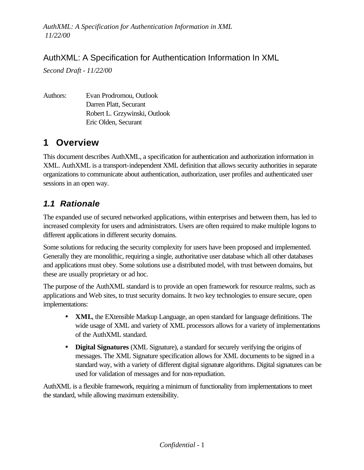### AuthXML: A Specification for Authentication Information In XML

*Second Draft - 11/22/00*

Authors: Evan Prodromou, Outlook Darren Platt, Securant Robert L. Grzywinski, Outlook Eric Olden, Securant

## **1 Overview**

This document describes AuthXML, a specification for authentication and authorization information in XML. AuthXML is a transport-independent XML definition that allows security authorities in separate organizations to communicate about authentication, authorization, user profiles and authenticated user sessions in an open way.

## *1.1 Rationale*

The expanded use of secured networked applications, within enterprises and between them, has led to increased complexity for users and administrators. Users are often required to make multiple logons to different applications in different security domains.

Some solutions for reducing the security complexity for users have been proposed and implemented. Generally they are monolithic, requiring a single, authoritative user database which all other databases and applications must obey. Some solutions use a distributed model, with trust between domains, but these are usually proprietary or ad hoc.

The purpose of the AuthXML standard is to provide an open framework for resource realms, such as applications and Web sites, to trust security domains. It two key technologies to ensure secure, open implementations:

- **XML**, the EXtensible Markup Language, an open standard for language definitions. The wide usage of XML and variety of XML processors allows for a variety of implementations of the AuthXML standard.
- **Digital Signatures** (XML Signature), a standard for securely verifying the origins of messages. The XML Signature specification allows for XML documents to be signed in a standard way, with a variety of different digital signature algorithms. Digital signatures can be used for validation of messages and for non-repudiation.

AuthXML is a flexible framework, requiring a minimum of functionality from implementations to meet the standard, while allowing maximum extensibility.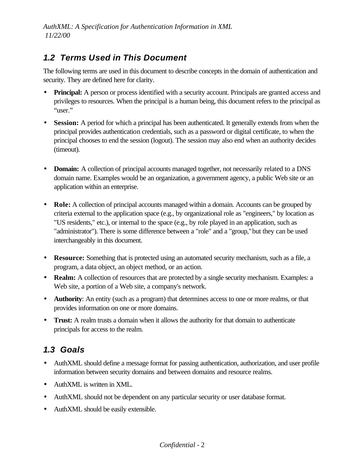## *1.2 Terms Used in This Document*

The following terms are used in this document to describe concepts in the domain of authentication and security. They are defined here for clarity.

- **Principal:** A person or process identified with a security account. Principals are granted access and privileges to resources. When the principal is a human being, this document refers to the principal as "user."
- **Session:** A period for which a principal has been authenticated. It generally extends from when the principal provides authentication credentials, such as a password or digital certificate, to when the principal chooses to end the session (logout). The session may also end when an authority decides (timeout).
- **Domain:** A collection of principal accounts managed together, not necessarily related to a DNS domain name. Examples would be an organization, a government agency, a public Web site or an application within an enterprise.
- **Role:** A collection of principal accounts managed within a domain. Accounts can be grouped by criteria external to the application space (e.g., by organizational role as "engineers," by location as "US residents," etc.), or internal to the space (e.g., by role played in an application, such as "administrator"). There is some difference between a "role" and a "group," but they can be used interchangeably in this document.
- **Resource:** Something that is protected using an automated security mechanism, such as a file, a program, a data object, an object method, or an action.
- **Realm:** A collection of resources that are protected by a single security mechanism. Examples: a Web site, a portion of a Web site, a company's network.
- **Authority**: An entity (such as a program) that determines access to one or more realms, or that provides information on one or more domains.
- **Trust:** A realm trusts a domain when it allows the authority for that domain to authenticate principals for access to the realm.

## *1.3 Goals*

- AuthXML should define a message format for passing authentication, authorization, and user profile information between security domains and between domains and resource realms.
- AuthXML is written in XML.
- AuthXML should not be dependent on any particular security or user database format.
- AuthXML should be easily extensible.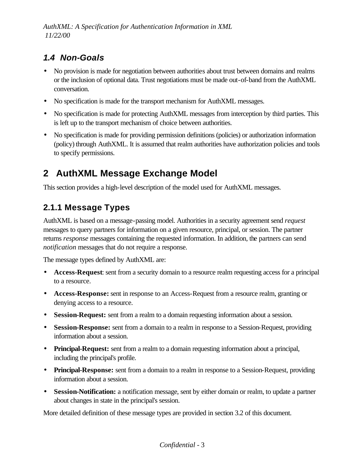# *1.4 Non-Goals*

- No provision is made for negotiation between authorities about trust between domains and realms or the inclusion of optional data. Trust negotiations must be made out-of-band from the AuthXML conversation.
- No specification is made for the transport mechanism for AuthXML messages.
- No specification is made for protecting AuthXML messages from interception by third parties. This is left up to the transport mechanism of choice between authorities.
- No specification is made for providing permission definitions (policies) or authorization information (policy) through AuthXML. It is assumed that realm authorities have authorization policies and tools to specify permissions.

# **2 AuthXML Message Exchange Model**

This section provides a high-level description of the model used for AuthXML messages.

## **2.1.1 Message Types**

AuthXML is based on a message-passing model. Authorities in a security agreement send *request* messages to query partners for information on a given resource, principal, or session. The partner returns *response* messages containing the requested information. In addition, the partners can send *notification* messages that do not require a response.

The message types defined by AuthXML are:

- **Access-Request**: sent from a security domain to a resource realm requesting access for a principal to a resource.
- **Access-Response:** sent in response to an Access-Request from a resource realm, granting or denying access to a resource.
- **Session-Request:** sent from a realm to a domain requesting information about a session.
- **Session-Response:** sent from a domain to a realm in response to a Session-Request, providing information about a session.
- **Principal-Request:** sent from a realm to a domain requesting information about a principal, including the principal's profile.
- **Principal-Response:** sent from a domain to a realm in response to a Session-Request, providing information about a session.
- **Session-Notification:** a notification message, sent by either domain or realm, to update a partner about changes in state in the principal's session.

More detailed definition of these message types are provided in section 3.2 of this document.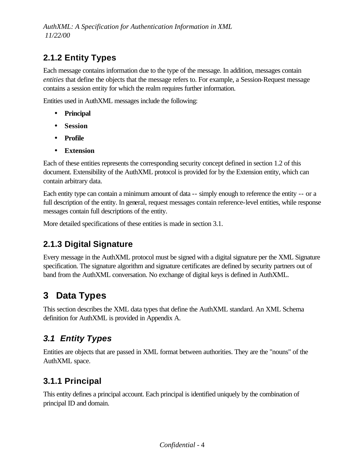# **2.1.2 Entity Types**

Each message contains information due to the type of the message. In addition, messages contain *entities* that define the objects that the message refers to. For example, a Session-Request message contains a session entity for which the realm requires further information.

Entities used in AuthXML messages include the following:

- **Principal**
- **Session**
- **Profile**
- **Extension**

Each of these entities represents the corresponding security concept defined in section 1.2 of this document. Extensibility of the AuthXML protocol is provided for by the Extension entity, which can contain arbitrary data.

Each entity type can contain a minimum amount of data -- simply enough to reference the entity -- or a full description of the entity. In general, request messages contain reference-level entities, while response messages contain full descriptions of the entity.

More detailed specifications of these entities is made in section 3.1.

## **2.1.3 Digital Signature**

Every message in the AuthXML protocol must be signed with a digital signature per the XML Signature specification. The signature algorithm and signature certificates are defined by security partners out of band from the AuthXML conversation. No exchange of digital keys is defined in AuthXML.

# **3 Data Types**

This section describes the XML data types that define the AuthXML standard. An XML Schema definition for AuthXML is provided in Appendix A.

# *3.1 Entity Types*

Entities are objects that are passed in XML format between authorities. They are the "nouns" of the AuthXML space.

## **3.1.1 Principal**

This entity defines a principal account. Each principal is identified uniquely by the combination of principal ID and domain.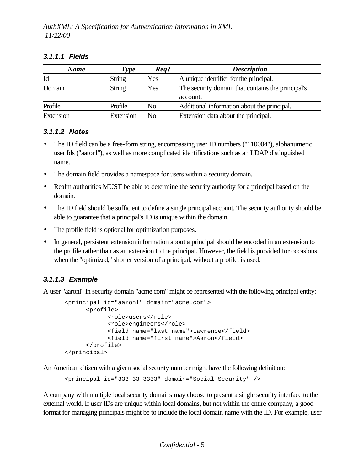#### *3.1.1.1 Fields*

| <b>Name</b> | Type          | $\boldsymbol{Re}$ <i>a</i> ? | <b>Description</b>                                            |
|-------------|---------------|------------------------------|---------------------------------------------------------------|
| Id          | <b>String</b> | Yes                          | A unique identifier for the principal.                        |
| Domain      | <b>String</b> | Yes                          | The security domain that contains the principal's<br>account. |
| Profile     | Profile       | N <sub>o</sub>               | Additional information about the principal.                   |
| Extension   | Extension     | No                           | Extension data about the principal.                           |

#### *3.1.1.2 Notes*

- The ID field can be a free-form string, encompassing user ID numbers ("110004"), alphanumeric user Ids ("aaronl"), as well as more complicated identifications such as an LDAP distinguished name.
- The domain field provides a namespace for users within a security domain.
- Realm authorities MUST be able to determine the security authority for a principal based on the domain.
- The ID field should be sufficient to define a single principal account. The security authority should be able to guarantee that a principal's ID is unique within the domain.
- The profile field is optional for optimization purposes.
- In general, persistent extension information about a principal should be encoded in an extension to the profile rather than as an extension to the principal. However, the field is provided for occasions when the "optimized," shorter version of a principal, without a profile, is used.

### *3.1.1.3 Example*

A user "aaronl" in security domain "acme.com" might be represented with the following principal entity:

```
<principal id="aaronl" domain="acme.com">
      <profile>
            <role>users</role>
            <role>engineers</role>
            <field name="last name">Lawrence</field>
            <field name="first name">Aaron</field>
       </profile>
</principal>
```
An American citizen with a given social security number might have the following definition:

<principal id="333-33-3333" domain="Social Security" />

A company with multiple local security domains may choose to present a single security interface to the external world. If user IDs are unique within local domains, but not within the entire company, a good format for managing principals might be to include the local domain name with the ID. For example, user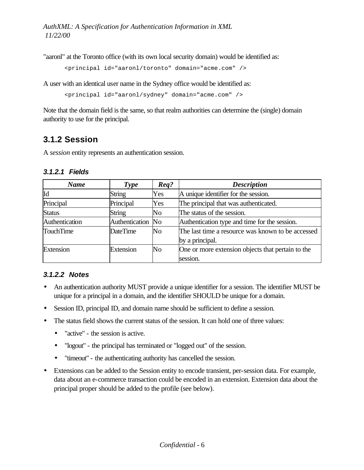"aaronl" at the Toronto office (with its own local security domain) would be identified as:

<principal id="aaronl/toronto" domain="acme.com" />

A user with an identical user name in the Sydney office would be identified as:

```
<principal id="aaronl/sydney" domain="acme.com" />
```
Note that the domain field is the same, so that realm authorities can determine the (single) domain authority to use for the principal.

### **3.1.2 Session**

A *session* entity represents an authentication session.

#### *3.1.2.1 Fields*

| <b>Name</b>      | <b>Type</b>       | $\boldsymbol{Req}$ ? | <b>Description</b>                                |
|------------------|-------------------|----------------------|---------------------------------------------------|
| Id               | <b>String</b>     | Yes                  | A unique identifier for the session.              |
| Principal        | Principal         | Yes                  | The principal that was authenticated.             |
| <b>Status</b>    | <b>String</b>     | No                   | The status of the session.                        |
| Authentication   | Authentication No |                      | Authentication type and time for the session.     |
| <b>TouchTime</b> | <b>DateTime</b>   | No                   | The last time a resource was known to be accessed |
|                  |                   |                      | by a principal.                                   |
| Extension        | Extension         | No                   | One or more extension objects that pertain to the |
|                  |                   |                      | session.                                          |

### *3.1.2.2 Notes*

- An authentication authority MUST provide a unique identifier for a session. The identifier MUST be unique for a principal in a domain, and the identifier SHOULD be unique for a domain.
- Session ID, principal ID, and domain name should be sufficient to define a session.
- The status field shows the current status of the session. It can hold one of three values:
	- "active" the session is active.
	- "logout" the principal has terminated or "logged out" of the session.
	- "timeout" the authenticating authority has cancelled the session.
- Extensions can be added to the Session entity to encode transient, per-session data. For example, data about an e-commerce transaction could be encoded in an extension. Extension data about the principal proper should be added to the profile (see below).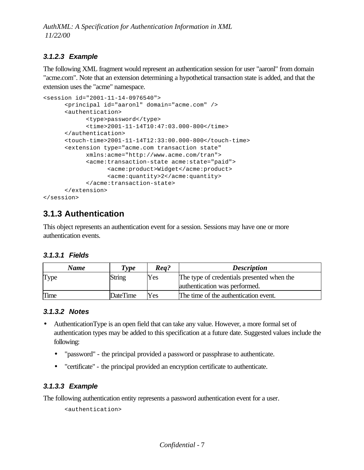### *3.1.2.3 Example*

The following XML fragment would represent an authentication session for user "aaronl" from domain "acme.com". Note that an extension determining a hypothetical transaction state is added, and that the extension uses the "acme" namespace.

```
<session id="2001-11-14-0976540">
      <principal id="aaronl" domain="acme.com" />
      <authentication>
           <type>password</type>
            <time>2001-11-14T10:47:03.000-800</time>
      </authentication>
      <touch-time>2001-11-14T12:33:00.000-800</touch-time>
      <extension type="acme.com transaction state"
            xmlns:acme="http://www.acme.com/tran">
            <acme:transaction-state acme:state="paid">
                  <acme:product>Widget</acme:product>
                  <acme:quantity>2</acme:quantity>
             </acme:transaction-state>
      </extension>
</session>
```
## **3.1.3 Authentication**

This object represents an authentication event for a session. Sessions may have one or more authentication events.

#### *3.1.3.1 Fields*

| Name | Type            | Req? | <b>Description</b>                         |
|------|-----------------|------|--------------------------------------------|
| Type | String          | Yes  | The type of credentials presented when the |
|      |                 |      | authentication was performed.              |
| Time | <b>DateTime</b> | Yes  | The time of the authentication event.      |

#### *3.1.3.2 Notes*

- AuthenticationType is an open field that can take any value. However, a more formal set of authentication types may be added to this specification at a future date. Suggested values include the following:
	- "password" the principal provided a password or passphrase to authenticate.
	- "certificate" the principal provided an encryption certificate to authenticate.

#### *3.1.3.3 Example*

The following authentication entity represents a password authentication event for a user.

<authentication>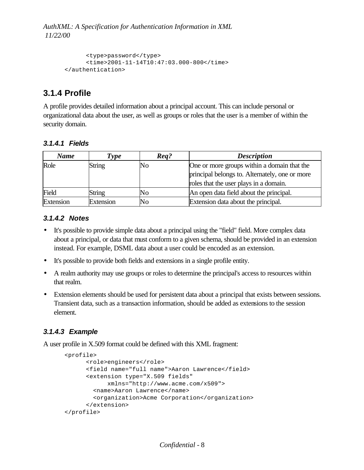```
<type>password</type>
      <time>2001-11-14T10:47:03.000-800</time>
</authentication>
```
### **3.1.4 Profile**

A profile provides detailed information about a principal account. This can include personal or organizational data about the user, as well as groups or roles that the user is a member of within the security domain.

#### *3.1.4.1 Fields*

| <b>Name</b> | Type          | Req? | <b>Description</b>                             |
|-------------|---------------|------|------------------------------------------------|
| Role        | <b>String</b> | No   | One or more groups within a domain that the    |
|             |               |      | principal belongs to. Alternately, one or more |
|             |               |      | roles that the user plays in a domain.         |
| Field       | <b>String</b> | No   | An open data field about the principal.        |
| Extension   | Extension     | No   | Extension data about the principal.            |

#### *3.1.4.2 Notes*

- It's possible to provide simple data about a principal using the "field" field. More complex data about a principal, or data that must conform to a given schema, should be provided in an extension instead. For example, DSML data about a user could be encoded as an extension.
- It's possible to provide both fields and extensions in a single profile entity.
- A realm authority may use groups or roles to determine the principal's access to resources within that realm.
- Extension elements should be used for persistent data about a principal that exists between sessions. Transient data, such as a transaction information, should be added as extensions to the session element.

#### *3.1.4.3 Example*

A user profile in X.509 format could be defined with this XML fragment:

```
<profile>
      <role>engineers</role>
      <field name="full name">Aaron Lawrence</field>
      <extension type="X.509 fields"
           xmlns="http://www.acme.com/x509">
        <name>Aaron Lawrence</name>
         <organization>Acme Corporation</organization>
       </extension>
</profile>
```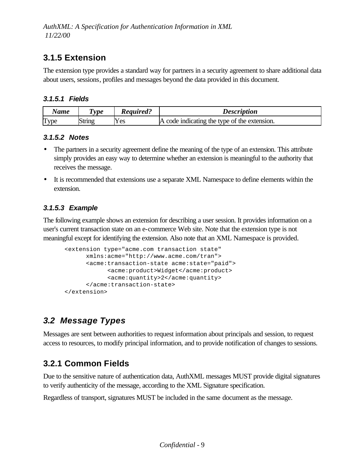## **3.1.5 Extension**

The extension type provides a standard way for partners in a security agreement to share additional data about users, sessions, profiles and messages beyond the data provided in this document.

#### *3.1.5.1 Fields*

| <b>Name</b>     | <i>vpe</i> | <i><b>Required?</b></i> | <i>Description</i>                           |
|-----------------|------------|-------------------------|----------------------------------------------|
| m<br><b>vpe</b> | липс       | Yes                     | A code indicating the type of the extension. |

#### *3.1.5.2 Notes*

- The partners in a security agreement define the meaning of the type of an extension. This attribute simply provides an easy way to determine whether an extension is meaningful to the authority that receives the message.
- It is recommended that extensions use a separate XML Namespace to define elements within the extension.

### *3.1.5.3 Example*

The following example shows an extension for describing a user session. It provides information on a user's current transaction state on an e-commerce Web site. Note that the extension type is not meaningful except for identifying the extension. Also note that an XML Namespace is provided.

```
<extension type="acme.com transaction state"
     xmlns:acme="http://www.acme.com/tran">
      <acme:transaction-state acme:state="paid">
           <acme:product>Widget</acme:product>
            <acme:quantity>2</acme:quantity>
       </acme:transaction-state>
</extension>
```
## *3.2 Message Types*

Messages are sent between authorities to request information about principals and session, to request access to resources, to modify principal information, and to provide notification of changes to sessions.

## **3.2.1 Common Fields**

Due to the sensitive nature of authentication data, AuthXML messages MUST provide digital signatures to verify authenticity of the message, according to the XML Signature specification.

Regardless of transport, signatures MUST be included in the same document as the message.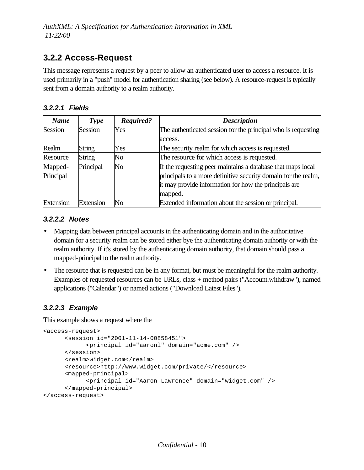## **3.2.2 Access-Request**

This message represents a request by a peer to allow an authenticated user to access a resource. It is used primarily in a "push" model for authentication sharing (see below). A resource-request is typically sent from a domain authority to a realm authority.

### *3.2.2.1 Fields*

| <b>Name</b> | <b>Type</b>   | Required?      | <b>Description</b>                                             |
|-------------|---------------|----------------|----------------------------------------------------------------|
| Session     | Session       | Yes            | The authenticated session for the principal who is requesting  |
|             |               |                | access.                                                        |
| Realm       | <b>String</b> | Yes            | The security realm for which access is requested.              |
| Resource    | <b>String</b> | No             | The resource for which access is requested.                    |
| Mapped-     | Principal     | N <sub>0</sub> | If the requesting peer maintains a database that maps local    |
| Principal   |               |                | principals to a more definitive security domain for the realm, |
|             |               |                | it may provide information for how the principals are          |
|             |               |                | mapped.                                                        |
| Extension   | Extension     | No             | Extended information about the session or principal.           |

#### *3.2.2.2 Notes*

- Mapping data between principal accounts in the authenticating domain and in the authoritative domain for a security realm can be stored either bye the authenticating domain authority or with the realm authority. If it's stored by the authenticating domain authority, that domain should pass a mapped-principal to the realm authority.
- The resource that is requested can be in any format, but must be meaningful for the realm authority. Examples of requested resources can be URLs, class + method pairs ("Account.withdraw"), named applications ("Calendar") or named actions ("Download Latest Files").

### *3.2.2.3 Example*

This example shows a request where the

```
<access-request>
     <session id="2001-11-14-00858451">
           <principal id="aaronl" domain="acme.com" />
     </session>
     <realm>widget.com</realm>
     <resource>http://www.widget.com/private/</resource>
     <mapped-principal>
            <principal id="Aaron_Lawrence" domain="widget.com" />
     </mapped-principal>
</access-request>
```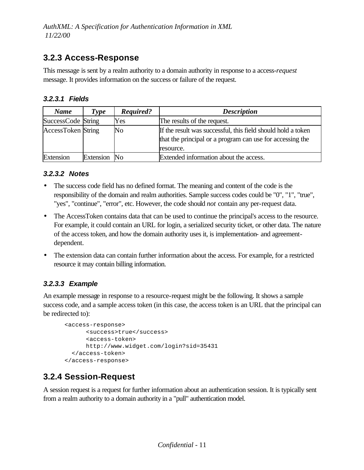## **3.2.3 Access-Response**

This message is sent by a realm authority to a domain authority in response to a access*-request* message. It provides information on the success or failure of the request.

#### *3.2.3.1 Fields*

| <b>Name</b>               | Type         | Required? | <b>Description</b>                                                                                                                     |
|---------------------------|--------------|-----------|----------------------------------------------------------------------------------------------------------------------------------------|
| SuccessCode String        |              | Yes       | The results of the request.                                                                                                            |
| <b>AccessToken</b> String |              | No        | If the result was successful, this field should hold a token<br>that the principal or a program can use for accessing the<br>resource. |
| Extension                 | Extension No |           | Extended information about the access.                                                                                                 |

#### *3.2.3.2 Notes*

- The success code field has no defined format. The meaning and content of the code is the responsibility of the domain and realm authorities. Sample success codes could be "0", "1", "true", "yes", "continue", "error", etc. However, the code should *not* contain any per-request data.
- The AccessToken contains data that can be used to continue the principal's access to the resource. For example, it could contain an URL for login, a serialized security ticket, or other data. The nature of the access token, and how the domain authority uses it, is implementation- and agreementdependent.
- The extension data can contain further information about the access. For example, for a restricted resource it may contain billing information.

### *3.2.3.3 Example*

An example message in response to a resource-request might be the following. It shows a sample success code, and a sample access token (in this case, the access token is an URL that the principal can be redirected to):

```
<access-response>
     <success>true</success>
      <access-token>
     http://www.widget.com/login?sid=35431
  </access-token>
</access-response>
```
## **3.2.4 Session-Request**

A session request is a request for further information about an authentication session. It is typically sent from a realm authority to a domain authority in a "pull" authentication model.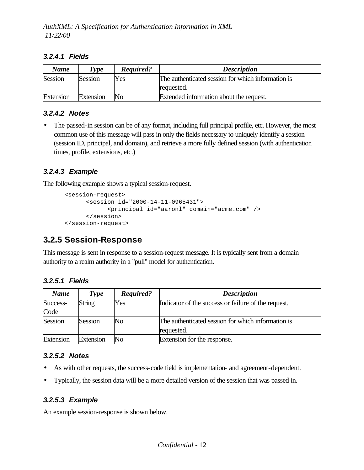#### *3.2.4.1 Fields*

| <b>Name</b> | Type      | Required? | <b>Description</b>                                 |
|-------------|-----------|-----------|----------------------------------------------------|
| Session     | Session   | Yes       | The authenticated session for which information is |
|             |           |           | requested.                                         |
| Extension   | Extension | lΝo       | Extended information about the request.            |

### *3.2.4.2 Notes*

• The passed-in session can be of any format, including full principal profile, etc. However, the most common use of this message will pass in only the fields necessary to uniquely identify a session (session ID, principal, and domain), and retrieve a more fully defined session (with authentication times, profile, extensions, etc.)

#### *3.2.4.3 Example*

The following example shows a typical session-request.

```
<session-request>
      <session id="2000-14-11-0965431">
           <principal id="aaronl" domain="acme.com" />
      </session>
</session-request>
```
## **3.2.5 Session-Response**

This message is sent in response to a session-request message. It is typically sent from a domain authority to a realm authority in a "pull" model for authentication.

| <b>Name</b> | <b>Type</b> | Required? | <b>Description</b>                                  |
|-------------|-------------|-----------|-----------------------------------------------------|
| Success-    | String      | Yes       | Indicator of the success or failure of the request. |
| Code        |             |           |                                                     |
| Session     | Session     | No        | The authenticated session for which information is  |
|             |             |           | requested.                                          |
| Extension   | Extension   | No        | Extension for the response.                         |

### *3.2.5.2 Notes*

- As with other requests, the success-code field is implementation- and agreement-dependent.
- Typically, the session data will be a more detailed version of the session that was passed in.

### *3.2.5.3 Example*

An example session-response is shown below.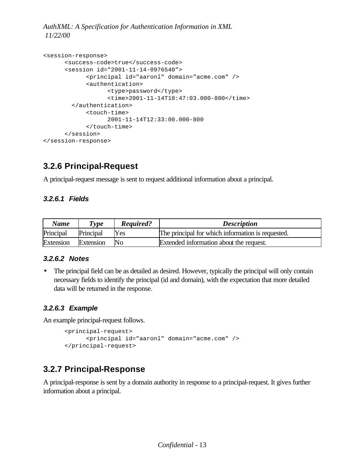```
<session-response>
     <success-code>true</success-code>
     <session id="2001-11-14-0976540">
            <principal id="aaronl" domain="acme.com" />
            <authentication>
                  <type>password</type>
                  <time>2001-11-14T10:47:03.000-800</time>
         </authentication>
            <touch-time>
                 2001-11-14T12:33:00.000-800
            </touch-time>
      </session>
</session-response>
```
## **3.2.6 Principal-Request**

A principal-request message is sent to request additional information about a principal.

### *3.2.6.1 Fields*

| <b>Name</b> | Type      | Required? | <b>Description</b>                                |
|-------------|-----------|-----------|---------------------------------------------------|
| Principal   | Principal | Yes       | The principal for which information is requested. |
| Extension   | Extension | No        | Extended information about the request.           |

### *3.2.6.2 Notes*

The principal field can be as detailed as desired. However, typically the principal will only contain necessary fields to identify the principal (id and domain), with the expectation that more detailed data will be returned in the response.

### *3.2.6.3 Example*

An example principal-request follows.

```
<principal-request>
      <principal id="aaronl" domain="acme.com" />
</principal-request>
```
## **3.2.7 Principal-Response**

A principal-response is sent by a domain authority in response to a principal-request. It gives further information about a principal.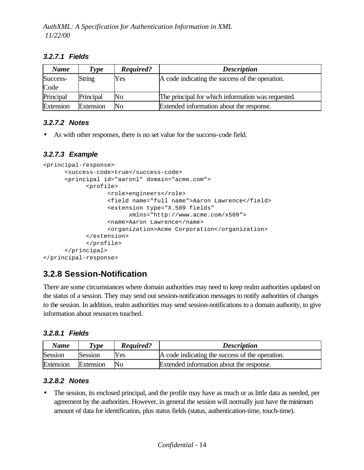#### *3.2.7.1 Fields*

| <b>Name</b> | Type          | Required? | <b>Description</b>                                 |
|-------------|---------------|-----------|----------------------------------------------------|
| Success-    | <b>String</b> | Yes       | A code indicating the success of the operation.    |
| Code        |               |           |                                                    |
| Principal   | Principal     | No        | The principal for which information was requested. |
| Extension   | Extension     | No        | Extended information about the response.           |

### *3.2.7.2 Notes*

• As with other responses, there is no set value for the success-code field.

### *3.2.7.3 Example*

```
<principal-response>
      <success-code>true</success-code>
      <principal id="aaronl" domain="acme.com">
            <profile>
                  <role>engineers</role>
                  <field name="full name">Aaron Lawrence</field>
                  <extension type="X.509 fields"
                        xmlns="http://www.acme.com/x509">
                   <name>Aaron Lawrence</name>
                   <organization>Acme Corporation</organization>
             </extension>
            </profile>
      </principal>
</principal-response>
```
## **3.2.8 Session-Notification**

There are some circumstances where domain authorities may need to keep realm authorities updated on the status of a session. They may send out session-notification messages to notify authorities of changes to the session. In addition, realm authorities may send session-notifications to a domain authority, to give information about resources touched.

#### *3.2.8.1 Fields*

| Name      | Type      | <b>Required?</b> | <b>Description</b>                              |
|-----------|-----------|------------------|-------------------------------------------------|
| Session   | Session   | Yes              | A code indicating the success of the operation. |
| Extension | Extension | No               | Extended information about the response.        |

#### *3.2.8.2 Notes*

• The session, its enclosed principal, and the profile may have as much or as little data as needed, per agreement by the authorities. However, in general the session will normally just have the minimum amount of data for identification, plus status fields (status, authentication-time, touch-time).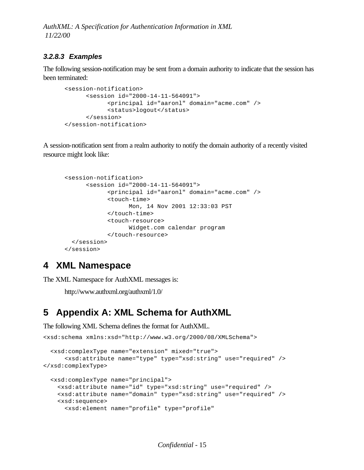### *3.2.8.3 Examples*

The following session-notification may be sent from a domain authority to indicate that the session has been terminated:

```
<session-notification>
      <session id="2000-14-11-564091">
            <principal id="aaronl" domain="acme.com" />
            <status>logout</status>
      </session>
</session-notification>
```
A session-notification sent from a realm authority to notify the domain authority of a recently visited resource might look like:

```
<session-notification>
      <session id="2000-14-11-564091">
            <principal id="aaronl" domain="acme.com" />
            <touch-time>
                  Mon, 14 Nov 2001 12:33:03 PST
            </touch-time>
            <touch-resource>
                  Widget.com calendar program
            </touch-resource>
   </session>
</session>
```
## **4 XML Namespace**

The XML Namespace for AuthXML messages is:

http://www.authxml.org/authxml/1.0/

# **5 Appendix A: XML Schema for AuthXML**

The following XML Schema defines the format for AuthXML.

```
<xsd:schema xmlns:xsd="http://www.w3.org/2000/08/XMLSchema">
```

```
 <xsd:complexType name="extension" mixed="true">
      <xsd:attribute name="type" type="xsd:string" use="required" />
</xsd:complexType>
  <xsd:complexType name="principal">
    <xsd:attribute name="id" type="xsd:string" use="required" />
    <xsd:attribute name="domain" type="xsd:string" use="required" />
    <xsd:sequence>
      <xsd:element name="profile" type="profile"
```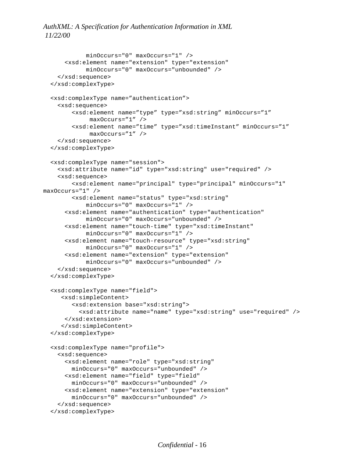```
minOccurs="0" maxOccurs="1" />
      <xsd:element name="extension" type="extension"
            minOccurs="0" maxOccurs="unbounded" />
     </xsd:sequence>
   </xsd:complexType>
   <xsd:complexType name="authentication">
     <xsd:sequence>
         <xsd:element name="type" type="xsd:string" minOccurs="1"
              maxOccurs="1" />
         <xsd:element name="time" type="xsd:timeInstant" minOccurs="1"
              maxOccurs="1" />
     </xsd:sequence>
   </xsd:complexType>
   <xsd:complexType name="session"> 
     <xsd:attribute name="id" type="xsd:string" use="required" />
     <xsd:sequence>
         <xsd:element name="principal" type="principal" minOccurs="1" 
maxOccurs="1" />
         <xsd:element name="status" type="xsd:string"
            minOccurs="0" maxOccurs="1" />
      <xsd:element name="authentication" type="authentication"
            minOccurs="0" maxOccurs="unbounded" />
      <xsd:element name="touch-time" type="xsd:timeInstant"
            minOccurs="0" maxOccurs="1" />
      <xsd:element name="touch-resource" type="xsd:string"
            minOccurs="0" maxOccurs="1" />
      <xsd:element name="extension" type="extension"
            minOccurs="0" maxOccurs="unbounded" />
     </xsd:sequence>
   </xsd:complexType>
   <xsd:complexType name="field">
      <xsd:simpleContent>
         <xsd:extension base="xsd:string">
           <xsd:attribute name="name" type="xsd:string" use="required" />
      </xsd:extension>
      </xsd:simpleContent>
   </xsd:complexType>
   <xsd:complexType name="profile">
     <xsd:sequence>
       <xsd:element name="role" type="xsd:string"
         minOccurs="0" maxOccurs="unbounded" />
       <xsd:element name="field" type="field"
         minOccurs="0" maxOccurs="unbounded" />
       <xsd:element name="extension" type="extension"
         minOccurs="0" maxOccurs="unbounded" />
     </xsd:sequence>
   </xsd:complexType>
```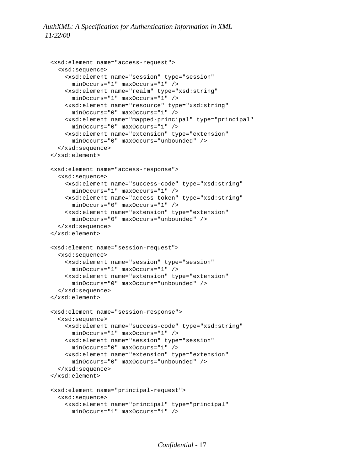```
 <xsd:element name="access-request">
   <xsd:sequence>
     <xsd:element name="session" type="session"
       minOccurs="1" maxOccurs="1" />
     <xsd:element name="realm" type="xsd:string"
       minOccurs="1" maxOccurs="1" />
     <xsd:element name="resource" type="xsd:string"
       minOccurs="0" maxOccurs="1" />
     <xsd:element name="mapped-principal" type="principal"
       minOccurs="0" maxOccurs="1" />
     <xsd:element name="extension" type="extension"
       minOccurs="0" maxOccurs="unbounded" />
   </xsd:sequence>
 </xsd:element>
 <xsd:element name="access-response">
   <xsd:sequence>
     <xsd:element name="success-code" type="xsd:string"
       minOccurs="1" maxOccurs="1" />
     <xsd:element name="access-token" type="xsd:string"
       minOccurs="0" maxOccurs="1" />
     <xsd:element name="extension" type="extension"
       minOccurs="0" maxOccurs="unbounded" />
   </xsd:sequence>
 </xsd:element>
 <xsd:element name="session-request">
   <xsd:sequence>
     <xsd:element name="session" type="session"
       minOccurs="1" maxOccurs="1" />
     <xsd:element name="extension" type="extension"
       minOccurs="0" maxOccurs="unbounded" />
   </xsd:sequence>
 </xsd:element>
 <xsd:element name="session-response">
   <xsd:sequence>
     <xsd:element name="success-code" type="xsd:string"
       minOccurs="1" maxOccurs="1" />
     <xsd:element name="session" type="session"
       minOccurs="0" maxOccurs="1" />
     <xsd:element name="extension" type="extension"
       minOccurs="0" maxOccurs="unbounded" />
   </xsd:sequence>
 </xsd:element>
 <xsd:element name="principal-request">
   <xsd:sequence>
     <xsd:element name="principal" type="principal"
       minOccurs="1" maxOccurs="1" />
```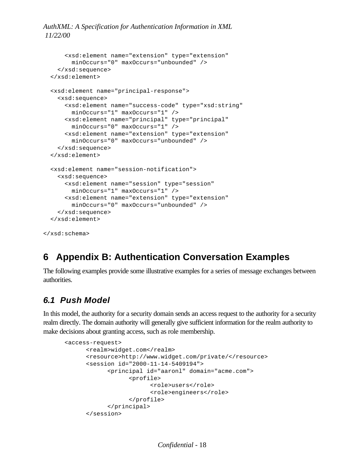*AuthXML: A Specification for Authentication Information in XML 11/22/00*

```
 <xsd:element name="extension" type="extension"
         minOccurs="0" maxOccurs="unbounded" />
    </xsd:sequence>
  </xsd:element>
  <xsd:element name="principal-response">
    <xsd:sequence>
      <xsd:element name="success-code" type="xsd:string"
         minOccurs="1" maxOccurs="1" />
      <xsd:element name="principal" type="principal"
        minOccurs="0" maxOccurs="1" />
       <xsd:element name="extension" type="extension"
         minOccurs="0" maxOccurs="unbounded" />
    </xsd:sequence>
  </xsd:element>
  <xsd:element name="session-notification">
    <xsd:sequence>
      <xsd:element name="session" type="session"
         minOccurs="1" maxOccurs="1" />
       <xsd:element name="extension" type="extension"
         minOccurs="0" maxOccurs="unbounded" />
    </xsd:sequence>
  </xsd:element>
</xsd:schema>
```
## **6 Appendix B: Authentication Conversation Examples**

The following examples provide some illustrative examples for a series of message exchanges between authorities.

### *6.1 Push Model*

In this model, the authority for a security domain sends an access request to the authority for a security realm directly. The domain authority will generally give sufficient information for the realm authority to make decisions about granting access, such as role membership.

```
<access-request>
      <realm>widget.com</realm>
      <resource>http://www.widget.com/private/</resource>
      <session id="2000-11-14-5409194">
            <principal id="aaronl" domain="acme.com">
                  <profile>
                        <role>users</role>
                        <role>engineers</role>
                  </profile>
            </principal>
      </session>
```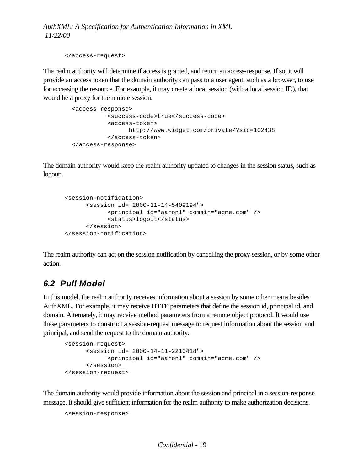```
</access-request>
```
The realm authority will determine if access is granted, and return an access-response. If so, it will provide an access token that the domain authority can pass to a user agent, such as a browser, to use for accessing the resource. For example, it may create a local session (with a local session ID), that would be a proxy for the remote session.

```
 <access-response>
          <success-code>true</success-code>
          <access-token>
                http://www.widget.com/private/?sid=102438
          </access-token>
 </access-response>
```
The domain authority would keep the realm authority updated to changes in the session status, such as logout:

```
<session-notification>
    <session id="2000-11-14-5409194">
           <principal id="aaronl" domain="acme.com" />
            <status>logout</status>
     </session>
</session-notification>
```
The realm authority can act on the session notification by cancelling the proxy session, or by some other action.

## *6.2 Pull Model*

In this model, the realm authority receives information about a session by some other means besides AuthXML. For example, it may receive HTTP parameters that define the session id, principal id, and domain. Alternately, it may receive method parameters from a remote object protocol. It would use these parameters to construct a session-request message to request information about the session and principal, and send the request to the domain authority:

```
<session-request>
      <session id="2000-14-11-2210418">
           <principal id="aaronl" domain="acme.com" />
      </session>
</session-request>
```
The domain authority would provide information about the session and principal in a session-response message. It should give sufficient information for the realm authority to make authorization decisions.

```
<session-response>
```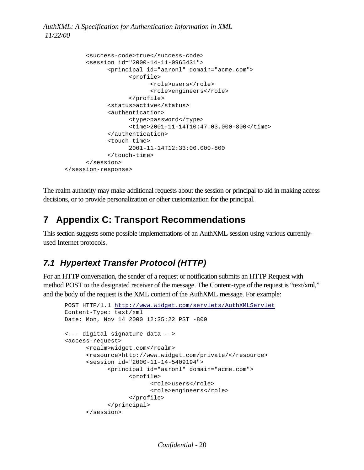```
<success-code>true</success-code>
      <session id="2000-14-11-0965431">
            <principal id="aaronl" domain="acme.com">
                  <profile>
                        <role>users</role>
                        <role>engineers</role>
                  </profile>
            <status>active</status>
            <authentication>
                  <type>password</type>
                  <time>2001-11-14T10:47:03.000-800</time>
             </authentication>
            <touch-time>
                  2001-11-14T12:33:00.000-800 
            </touch-time>
      </session>
</session-response>
```
The realm authority may make additional requests about the session or principal to aid in making access decisions, or to provide personalization or other customization for the principal.

## **7 Appendix C: Transport Recommendations**

This section suggests some possible implementations of an AuthXML session using various currentlyused Internet protocols.

## *7.1 Hypertext Transfer Protocol (HTTP)*

For an HTTP conversation, the sender of a request or notification submits an HTTP Request with method POST to the designated receiver of the message. The Content-type of the request is "text/xml," and the body of the request is the XML content of the AuthXML message. For example:

```
POST HTTP/1.1 http://www.widget.com/servlets/AuthXMLServlet
Content-Type: text/xml
Date: Mon, Nov 14 2000 12:35:22 PST -800
<!-- digital signature data -->
<access-request>
      <realm>widget.com</realm>
      <resource>http://www.widget.com/private/</resource>
      <session id="2000-11-14-5409194">
            <principal id="aaronl" domain="acme.com">
                  <profile>
                        <role>users</role>
                        <role>engineers</role>
                  </profile>
            </principal>
      </session>
```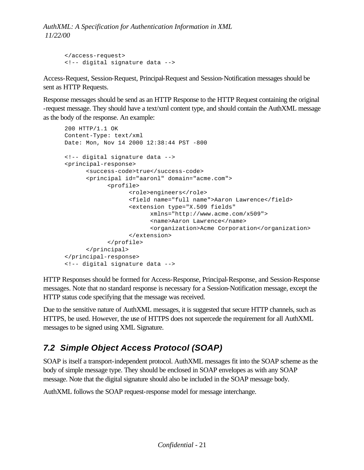```
</access-request>
<!-- digital signature data -->
```
Access-Request, Session-Request, Principal-Request and Session-Notification messages should be sent as HTTP Requests.

Response messages should be send as an HTTP Response to the HTTP Request containing the original -request message. They should have a text/xml content type, and should contain the AuthXML message as the body of the response. An example:

```
200 HTTP/1.1 OK
Content-Type: text/xml
Date: Mon, Nov 14 2000 12:38:44 PST -800
<!-- digital signature data -->
<principal-response>
      <success-code>true</success-code>
      <principal id="aaronl" domain="acme.com">
            <profile>
                  <role>engineers</role>
                  <field name="full name">Aaron Lawrence</field>
                  <extension type="X.509 fields"
                        xmlns="http://www.acme.com/x509">
                         <name>Aaron Lawrence</name>
                         <organization>Acme Corporation</organization>
                   </extension>
            </profile>
      </principal>
</principal-response>
<!-- digital signature data -->
```
HTTP Responses should be formed for Access-Response, Principal-Response, and Session-Response messages. Note that no standard response is necessary for a Session-Notification message, except the HTTP status code specifying that the message was received.

Due to the sensitive nature of AuthXML messages, it is suggested that secure HTTP channels, such as HTTPS, be used. However, the use of HTTPS does not supercede the requirement for all AuthXML messages to be signed using XML Signature.

## *7.2 Simple Object Access Protocol (SOAP)*

SOAP is itself a transport-independent protocol. AuthXML messages fit into the SOAP scheme as the body of simple message type. They should be enclosed in SOAP envelopes as with any SOAP message. Note that the digital signature should also be included in the SOAP message body.

AuthXML follows the SOAP request-response model for message interchange.